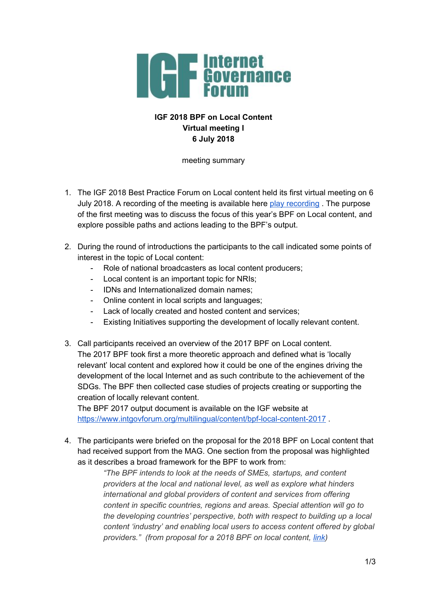

## **IGF 2018 BPF on Local Content Virtual meeting I 6 July 2018**

meeting summary

- 1. The IGF 2018 Best Practice Forum on Local content held its first virtual meeting on 6 July 2018. A recording of the meeting is available here play [recording](https://intgovforum.webex.com/intgovforum/ldr.php?RCID=367b5d28feaa98f9f6b39f7e351acfe6) . The purpose of the first meeting was to discuss the focus of this year's BPF on Local content, and explore possible paths and actions leading to the BPF's output.
- 2. During the round of introductions the participants to the call indicated some points of interest in the topic of Local content:
	- Role of national broadcasters as local content producers;
	- Local content is an important topic for NRIs;
	- IDNs and Internationalized domain names;
	- Online content in local scripts and languages;
	- Lack of locally created and hosted content and services;
	- Existing Initiatives supporting the development of locally relevant content.
- 3. Call participants received an overview of the 2017 BPF on Local content. The 2017 BPF took first a more theoretic approach and defined what is 'locally relevant' local content and explored how it could be one of the engines driving the development of the local Internet and as such contribute to the achievement of the SDGs. The BPF then collected case studies of projects creating or supporting the creation of locally relevant content.

The BPF 2017 output document is available on the IGF website at <https://www.intgovforum.org/multilingual/content/bpf-local-content-2017>.

4. The participants were briefed on the proposal for the 2018 BPF on Local content that had received support from the MAG. One section from the proposal was highlighted as it describes a broad framework for the BPF to work from:

> *"The BPF intends to look at the needs of SMEs, startups, and content providers at the local and national level, as well as explore what hinders international and global providers of content and services from offering content in specific countries, regions and areas. Special attention will go to the developing countries' perspective, both with respect to building up a local content 'industry' and enabling local users to access content offered by global providers." (from proposal for a 2018 BPF on local content, [link\)](http://www.intgovforum.org/multilingual/filedepot_download/6119/1188)*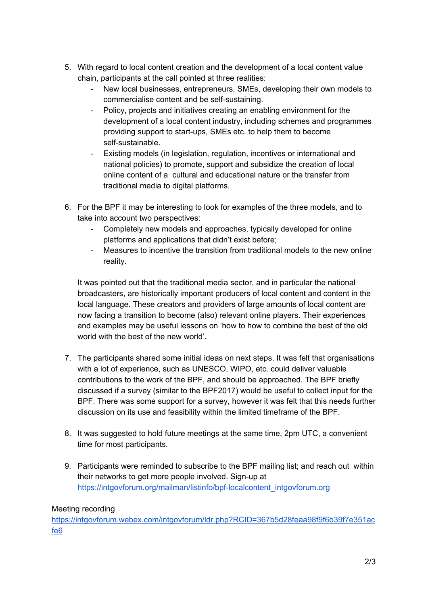- 5. With regard to local content creation and the development of a local content value chain, participants at the call pointed at three realities:
	- New local businesses, entrepreneurs, SMEs, developing their own models to commercialise content and be self-sustaining.
	- Policy, projects and initiatives creating an enabling environment for the development of a local content industry, including schemes and programmes providing support to start-ups, SMEs etc. to help them to become self-sustainable.
	- Existing models (in legislation, regulation, incentives or international and national policies) to promote, support and subsidize the creation of local online content of a cultural and educational nature or the transfer from traditional media to digital platforms.
- 6. For the BPF it may be interesting to look for examples of the three models, and to take into account two perspectives:
	- Completely new models and approaches, typically developed for online platforms and applications that didn't exist before;
	- Measures to incentive the transition from traditional models to the new online reality.

It was pointed out that the traditional media sector, and in particular the national broadcasters, are historically important producers of local content and content in the local language. These creators and providers of large amounts of local content are now facing a transition to become (also) relevant online players. Their experiences and examples may be useful lessons on 'how to how to combine the best of the old world with the best of the new world'.

- 7. The participants shared some initial ideas on next steps. It was felt that organisations with a lot of experience, such as UNESCO, WIPO, etc. could deliver valuable contributions to the work of the BPF, and should be approached. The BPF briefly discussed if a survey (similar to the BPF2017) would be useful to collect input for the BPF. There was some support for a survey, however it was felt that this needs further discussion on its use and feasibility within the limited timeframe of the BPF.
- 8. It was suggested to hold future meetings at the same time, 2pm UTC, a convenient time for most participants.
- 9. Participants were reminded to subscribe to the BPF mailing list; and reach out within their networks to get more people involved. Sign-up at [https://intgovforum.org/mailman/listinfo/bpf-localcontent\\_intgovforum.org](https://intgovforum.org/mailman/listinfo/bpf-localcontent_intgovforum.org)

## Meeting recording

[https://intgovforum.webex.com/intgovforum/ldr.php?RCID=367b5d28feaa98f9f6b39f7e351ac](https://intgovforum.webex.com/intgovforum/ldr.php?RCID=367b5d28feaa98f9f6b39f7e351acfe6) [fe6](https://intgovforum.webex.com/intgovforum/ldr.php?RCID=367b5d28feaa98f9f6b39f7e351acfe6)